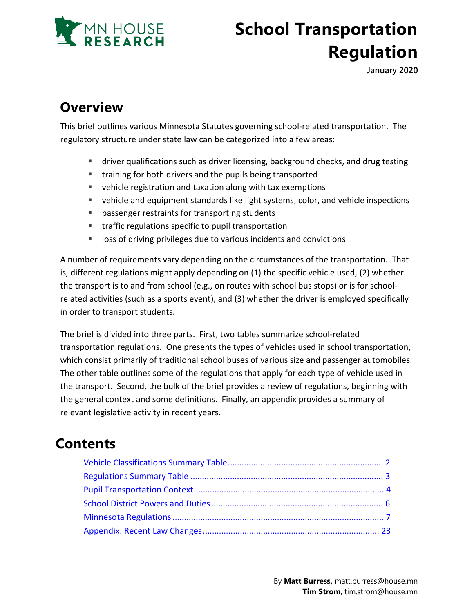

# **School Transportation Regulation**

**January 2020**

## **Overview**

This brief outlines various Minnesota Statutes governing school-related transportation. The regulatory structure under state law can be categorized into a few areas:

- driver qualifications such as driver licensing, background checks, and drug testing
- training for both drivers and the pupils being transported
- vehicle registration and taxation along with tax exemptions
- vehicle and equipment standards like light systems, color, and vehicle inspections
- **Passenger restraints for transporting students**
- **traffic regulations specific to pupil transportation**
- **IDED** loss of driving privileges due to various incidents and convictions

A number of requirements vary depending on the circumstances of the transportation. That is, different regulations might apply depending on (1) the specific vehicle used, (2) whether the transport is to and from school (e.g., on routes with school bus stops) or is for schoolrelated activities (such as a sports event), and (3) whether the driver is employed specifically in order to transport students.

The brief is divided into three parts. First, two tables summarize school-related transportation regulations. One presents the types of vehicles used in school transportation, which consist primarily of traditional school buses of various size and passenger automobiles. The other table outlines some of the regulations that apply for each type of vehicle used in the transport. Second, the bulk of the brief provides a review of regulations, beginning with the general context and some definitions. Finally, an appendix provides a summary of relevant legislative activity in recent years.

## **Contents**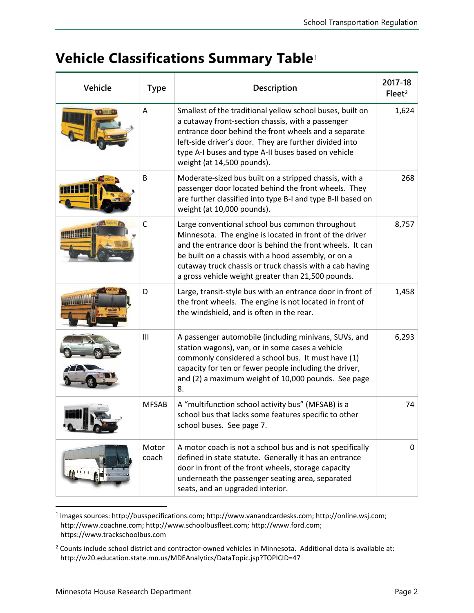## <span id="page-1-0"></span>**Vehicle Classifications Summary Table**[1](#page-1-1)

| Vehicle | <b>Type</b>    | Description                                                                                                                                                                                                                                                                                                                                     | 2017-18<br>Fleet <sup>2</sup> |
|---------|----------------|-------------------------------------------------------------------------------------------------------------------------------------------------------------------------------------------------------------------------------------------------------------------------------------------------------------------------------------------------|-------------------------------|
|         | A              | Smallest of the traditional yellow school buses, built on<br>a cutaway front-section chassis, with a passenger<br>entrance door behind the front wheels and a separate<br>left-side driver's door. They are further divided into<br>type A-I buses and type A-II buses based on vehicle<br>weight (at 14,500 pounds).                           | 1,624                         |
|         | B              | Moderate-sized bus built on a stripped chassis, with a<br>passenger door located behind the front wheels. They<br>are further classified into type B-I and type B-II based on<br>weight (at 10,000 pounds).                                                                                                                                     | 268                           |
|         | $\mathsf{C}$   | Large conventional school bus common throughout<br>Minnesota. The engine is located in front of the driver<br>and the entrance door is behind the front wheels. It can<br>be built on a chassis with a hood assembly, or on a<br>cutaway truck chassis or truck chassis with a cab having<br>a gross vehicle weight greater than 21,500 pounds. | 8,757                         |
|         | D              | Large, transit-style bus with an entrance door in front of<br>the front wheels. The engine is not located in front of<br>the windshield, and is often in the rear.                                                                                                                                                                              | 1,458                         |
|         | III            | A passenger automobile (including minivans, SUVs, and<br>station wagons), van, or in some cases a vehicle<br>commonly considered a school bus. It must have (1)<br>capacity for ten or fewer people including the driver,<br>and (2) a maximum weight of 10,000 pounds. See page<br>8.                                                          | 6,293                         |
|         | <b>MFSAB</b>   | A "multifunction school activity bus" (MFSAB) is a<br>school bus that lacks some features specific to other<br>school buses. See page 7.                                                                                                                                                                                                        | 74                            |
|         | Motor<br>coach | A motor coach is not a school bus and is not specifically<br>defined in state statute. Generally it has an entrance<br>door in front of the front wheels, storage capacity<br>underneath the passenger seating area, separated<br>seats, and an upgraded interior.                                                                              | 0                             |

<span id="page-1-1"></span><sup>1</sup> Images sources: http://busspecifications.com; http://www.vanandcardesks.com; http://online.wsj.com; http://www.coachne.com; http://www.schoolbusfleet.com; http://www.ford.com; https://www.trackschoolbus.com

<span id="page-1-2"></span><sup>2</sup> Counts include school district and contractor-owned vehicles in Minnesota. Additional data is available at: http://w20.education.state.mn.us/MDEAnalytics/DataTopic.jsp?TOPICID=47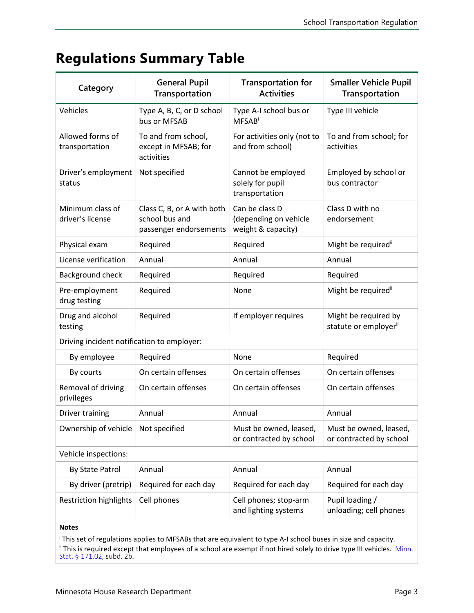## <span id="page-2-0"></span>**Regulations Summary Table**

| Category                                   | <b>General Pupil</b><br>Transportation                                 | <b>Transportation for</b><br><b>Activities</b>                | <b>Smaller Vehicle Pupil</b><br>Transportation            |  |  |  |
|--------------------------------------------|------------------------------------------------------------------------|---------------------------------------------------------------|-----------------------------------------------------------|--|--|--|
| Vehicles                                   | Type A, B, C, or D school<br>bus or MFSAB                              | Type A-I school bus or<br><b>MFSAB</b>                        | Type III vehicle                                          |  |  |  |
| Allowed forms of<br>transportation         | To and from school,<br>except in MFSAB; for<br>activities              | For activities only (not to<br>and from school)               | To and from school; for<br>activities                     |  |  |  |
| Driver's employment<br>status              | Not specified                                                          | Cannot be employed<br>solely for pupil<br>transportation      | Employed by school or<br>bus contractor                   |  |  |  |
| Minimum class of<br>driver's license       | Class C, B, or A with both<br>school bus and<br>passenger endorsements | Can be class D<br>(depending on vehicle<br>weight & capacity) | Class D with no<br>endorsement                            |  |  |  |
| Physical exam                              | Required                                                               | Required                                                      | Might be required"                                        |  |  |  |
| License verification                       | Annual                                                                 | Annual                                                        | Annual                                                    |  |  |  |
| Background check                           | Required                                                               | Required                                                      | Required                                                  |  |  |  |
| Pre-employment<br>drug testing             | Required                                                               | None                                                          | Might be required"                                        |  |  |  |
| Drug and alcohol<br>testing                | Required                                                               | If employer requires                                          | Might be required by<br>statute or employer <sup>ii</sup> |  |  |  |
| Driving incident notification to employer: |                                                                        |                                                               |                                                           |  |  |  |
| By employee                                | Required                                                               | None                                                          | Required                                                  |  |  |  |
| By courts                                  | On certain offenses                                                    | On certain offenses                                           | On certain offenses                                       |  |  |  |
| Removal of driving<br>privileges           | On certain offenses                                                    | On certain offenses                                           | On certain offenses                                       |  |  |  |
| Driver training                            | Annual                                                                 | Annual                                                        | Annual                                                    |  |  |  |
| Ownership of vehicle                       | Not specified                                                          | Must be owned, leased,<br>or contracted by school             | Must be owned, leased,<br>or contracted by school         |  |  |  |
| Vehicle inspections:                       |                                                                        |                                                               |                                                           |  |  |  |
| By State Patrol                            | Annual                                                                 | Annual                                                        | Annual                                                    |  |  |  |
| By driver (pretrip)                        | Required for each day                                                  | Required for each day                                         | Required for each day                                     |  |  |  |
| <b>Restriction highlights</b>              | Cell phones                                                            | Cell phones; stop-arm<br>and lighting systems                 | Pupil loading /<br>unloading; cell phones                 |  |  |  |
| <b>Notes</b>                               |                                                                        |                                                               |                                                           |  |  |  |

<sup>i</sup> This set of regulations applies to MFSABs that are equivalent to type A-I school buses in size and capacity. <sup>ii</sup> This is required except that employees of a school are exempt if not hired solely to drive type III vehicles. Minn. Stat. § [171.02,](https://www.revisor.mn.gov/statutes/cite/171.02) subd. 2b.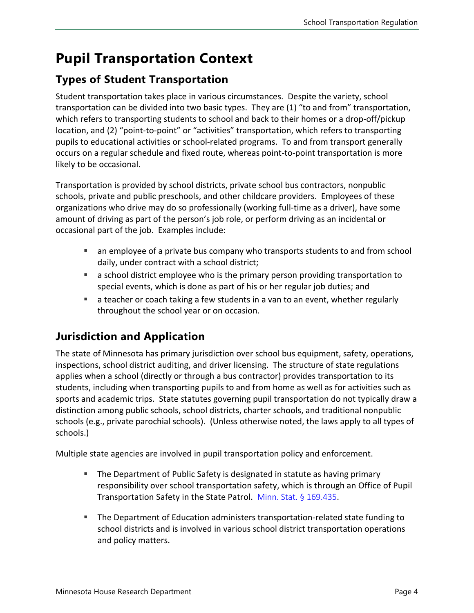## <span id="page-3-0"></span>**Pupil Transportation Context**

## **Types of Student Transportation**

Student transportation takes place in various circumstances. Despite the variety, school transportation can be divided into two basic types. They are (1) "to and from" transportation, which refers to transporting students to school and back to their homes or a drop-off/pickup location, and (2) "point-to-point" or "activities" transportation, which refers to transporting pupils to educational activities or school-related programs. To and from transport generally occurs on a regular schedule and fixed route, whereas point-to-point transportation is more likely to be occasional.

Transportation is provided by school districts, private school bus contractors, nonpublic schools, private and public preschools, and other childcare providers. Employees of these organizations who drive may do so professionally (working full-time as a driver), have some amount of driving as part of the person's job role, or perform driving as an incidental or occasional part of the job. Examples include:

- an employee of a private bus company who transports students to and from school daily, under contract with a school district;
- a school district employee who is the primary person providing transportation to special events, which is done as part of his or her regular job duties; and
- a teacher or coach taking a few students in a van to an event, whether regularly throughout the school year or on occasion.

## **Jurisdiction and Application**

The state of Minnesota has primary jurisdiction over school bus equipment, safety, operations, inspections, school district auditing, and driver licensing. The structure of state regulations applies when a school (directly or through a bus contractor) provides transportation to its students, including when transporting pupils to and from home as well as for activities such as sports and academic trips. State statutes governing pupil transportation do not typically draw a distinction among public schools, school districts, charter schools, and traditional nonpublic schools (e.g., private parochial schools). (Unless otherwise noted, the laws apply to all types of schools.)

Multiple state agencies are involved in pupil transportation policy and enforcement.

- **The Department of Public Safety is designated in statute as having primary** responsibility over school transportation safety, which is through an Office of Pupil Transportation Safety in the State Patrol. [Minn. Stat. § 169.435](https://www.revisor.mn.gov/statutes/cite/169.435).
- The Department of Education administers transportation-related state funding to school districts and is involved in various school district transportation operations and policy matters.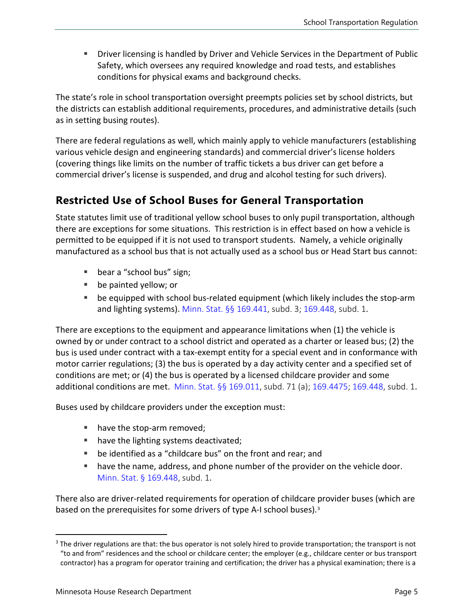**Driver licensing is handled by Driver and Vehicle Services in the Department of Public** Safety, which oversees any required knowledge and road tests, and establishes conditions for physical exams and background checks.

The state's role in school transportation oversight preempts policies set by school districts, but the districts can establish additional requirements, procedures, and administrative details (such as in setting busing routes).

There are federal regulations as well, which mainly apply to vehicle manufacturers (establishing various vehicle design and engineering standards) and commercial driver's license holders (covering things like limits on the number of traffic tickets a bus driver can get before a commercial driver's license is suspended, and drug and alcohol testing for such drivers).

### **Restricted Use of School Buses for General Transportation**

State statutes limit use of traditional yellow school buses to only pupil transportation, although there are exceptions for some situations. This restriction is in effect based on how a vehicle is permitted to be equipped if it is not used to transport students. Namely, a vehicle originally manufactured as a school bus that is not actually used as a school bus or Head Start bus cannot:

- bear a "school bus" sign;
- **be painted yellow; or**
- be equipped with school bus-related equipment (which likely includes the stop-arm and lighting systems). [Minn. Stat. §§ 169.441,](https://www.revisor.mn.gov/statutes/cite/169.441) subd. 3; [169.448,](https://www.revisor.mn.gov/statutes/cite/169.448) subd. 1.

There are exceptions to the equipment and appearance limitations when (1) the vehicle is owned by or under contract to a school district and operated as a charter or leased bus; (2) the bus is used under contract with a tax-exempt entity for a special event and in conformance with motor carrier regulations; (3) the bus is operated by a day activity center and a specified set of conditions are met; or (4) the bus is operated by a licensed childcare provider and some additional conditions are met. [Minn. Stat. §§ 169.011,](https://www.revisor.mn.gov/statutes/cite/169.011) subd. 71 (a); [169.4475;](https://www.revisor.mn.gov/statutes/cite/169.4475) [169.448](https://www.revisor.mn.gov/statutes/cite/169.448), subd. 1.

Buses used by childcare providers under the exception must:

- have the stop-arm removed;
- have the lighting systems deactivated;
- be identified as a "childcare bus" on the front and rear; and
- have the name, address, and phone number of the provider on the vehicle door. [Minn. Stat. § 169.448](https://www.revisor.mn.gov/statutes/cite/169.448), subd. 1.

There also are driver-related requirements for operation of childcare provider buses (which are based on the prerequisites for some drivers of type A-I school buses).[3](#page-4-0)

<span id="page-4-0"></span><sup>&</sup>lt;sup>3</sup> The driver regulations are that: the bus operator is not solely hired to provide transportation; the transport is not "to and from" residences and the school or childcare center; the employer (e.g., childcare center or bus transport contractor) has a program for operator training and certification; the driver has a physical examination; there is a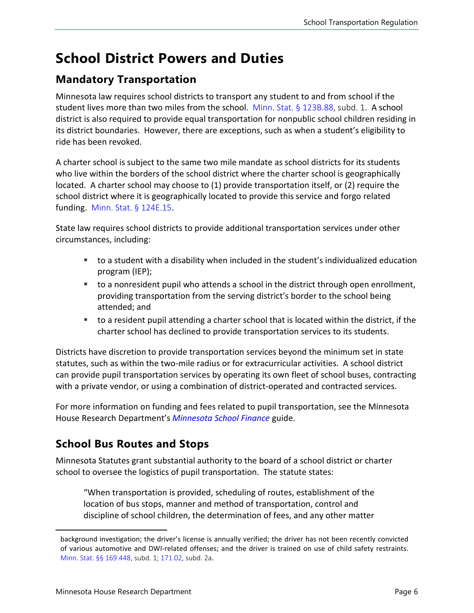## <span id="page-5-0"></span>**School District Powers and Duties**

### **Mandatory Transportation**

Minnesota law requires school districts to transport any student to and from school if the student lives more than two miles from the school. [Minn. Stat. § 123B.88,](https://www.revisor.mn.gov/statutes/cite/123B.88) subd. 1. A school district is also required to provide equal transportation for nonpublic school children residing in its district boundaries. However, there are exceptions, such as when a student's eligibility to ride has been revoked.

A charter school is subject to the same two mile mandate as school districts for its students who live within the borders of the school district where the charter school is geographically located. A charter school may choose to (1) provide transportation itself, or (2) require the school district where it is geographically located to provide this service and forgo related funding. [Minn. Stat. § 124E.15](https://www.revisor.mn.gov/statutes/cite/124E.15).

State law requires school districts to provide additional transportation services under other circumstances, including:

- to a student with a disability when included in the student's individualized education program (IEP);
- to a nonresident pupil who attends a school in the district through open enrollment, providing transportation from the serving district's border to the school being attended; and
- to a resident pupil attending a charter school that is located within the district, if the charter school has declined to provide transportation services to its students.

Districts have discretion to provide transportation services beyond the minimum set in state statutes, such as within the two-mile radius or for extracurricular activities. A school district can provide pupil transportation services by operating its own fleet of school buses, contracting with a private vendor, or using a combination of district-operated and contracted services.

For more information on funding and fees related to pupil transportation, see the Minnesota House Research Department's *[Minnesota School Finance](https://www.house.leg.state.mn.us/hrd/pubs/mnschfin.pdf)* guide.

## **School Bus Routes and Stops**

Minnesota Statutes grant substantial authority to the board of a school district or charter school to oversee the logistics of pupil transportation. The statute states:

"When transportation is provided, scheduling of routes, establishment of the location of bus stops, manner and method of transportation, control and discipline of school children, the determination of fees, and any other matter

background investigation; the driver's license is annually verified; the driver has not been recently convicted of various automotive and DWI-related offenses; and the driver is trained on use of child safety restraints. [Minn. Stat. §§ 169.448,](https://www.revisor.mn.gov/statutes/cite/169.448) subd. 1; [171.02,](https://www.revisor.mn.gov/statutes/cite/171.02) subd. 2a.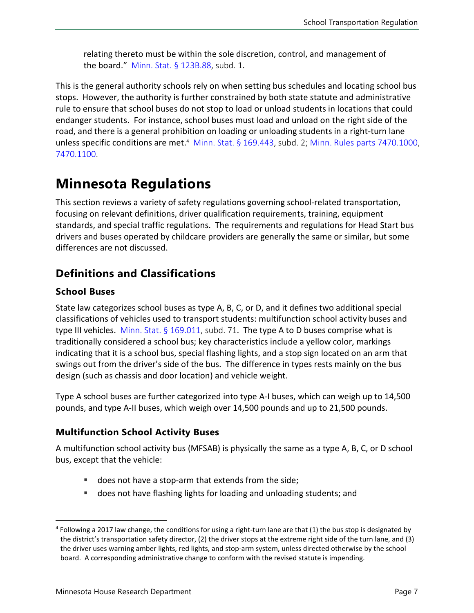relating thereto must be within the sole discretion, control, and management of the board." [Minn. Stat. § 123B.88,](https://www.revisor.mn.gov/statutes/cite/123B.88) subd. 1.

This is the general authority schools rely on when setting bus schedules and locating school bus stops. However, the authority is further constrained by both state statute and administrative rule to ensure that school buses do not stop to load or unload students in locations that could endanger students. For instance, school buses must load and unload on the right side of the road, and there is a general prohibition on loading or unloading students in a right-turn lane unless specific conditions are met.<sup>[4](#page-6-2)</sup> [Minn. Stat. §](https://www.revisor.mn.gov/statutes/cite/169.443) 169.443, subd. 2; Minn. [Rules parts 7470.1000,](https://www.revisor.mn.gov/rules/7470.1000/) [7470.1100.](https://www.revisor.mn.gov/rules/7470.1100/)

## <span id="page-6-0"></span>**Minnesota Regulations**

This section reviews a variety of safety regulations governing school-related transportation, focusing on relevant definitions, driver qualification requirements, training, equipment standards, and special traffic regulations. The requirements and regulations for Head Start bus drivers and buses operated by childcare providers are generally the same or similar, but some differences are not discussed.

## **Definitions and Classifications**

#### **School Buses**

State law categorizes school buses as type A, B, C, or D, and it defines two additional special classifications of vehicles used to transport students: multifunction school activity buses and type III vehicles. Minn. Stat.  $\S$  169.011, subd. 71. The type A to D buses comprise what is traditionally considered a school bus; key characteristics include a yellow color, markings indicating that it is a school bus, special flashing lights, and a stop sign located on an arm that swings out from the driver's side of the bus. The difference in types rests mainly on the bus design (such as chassis and door location) and vehicle weight.

Type A school buses are further categorized into type A-I buses, which can weigh up to 14,500 pounds, and type A-II buses, which weigh over 14,500 pounds and up to 21,500 pounds.

#### <span id="page-6-1"></span>**Multifunction School Activity Buses**

A multifunction school activity bus (MFSAB) is physically the same as a type A, B, C, or D school bus, except that the vehicle:

- does not have a stop-arm that extends from the side;
- does not have flashing lights for loading and unloading students; and

<span id="page-6-2"></span> $4$  Following a 2017 law change, the conditions for using a right-turn lane are that (1) the bus stop is designated by the district's transportation safety director, (2) the driver stops at the extreme right side of the turn lane, and (3) the driver uses warning amber lights, red lights, and stop-arm system, unless directed otherwise by the school board. A corresponding administrative change to conform with the revised statute is impending.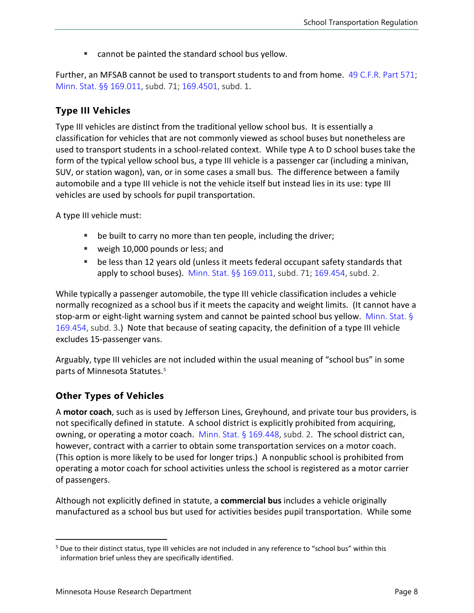■ cannot be painted the standard school bus yellow.

Further, an MFSAB cannot be used to transport students to and from home. [49 C.F.R. Part 571;](https://www.law.cornell.edu/cfr/text/49/part-571) [Minn. Stat. §§ 169.011](https://www.revisor.mn.gov/statutes/cite/169.011), subd. 71; [169.4501](https://www.revisor.mn.gov/statutes/cite/169.4501), subd. 1.

#### <span id="page-7-0"></span>**Type III Vehicles**

Type III vehicles are distinct from the traditional yellow school bus. It is essentially a classification for vehicles that are not commonly viewed as school buses but nonetheless are used to transport students in a school-related context. While type A to D school buses take the form of the typical yellow school bus, a type III vehicle is a passenger car (including a minivan, SUV, or station wagon), van, or in some cases a small bus. The difference between a family automobile and a type III vehicle is not the vehicle itself but instead lies in its use: type III vehicles are used by schools for pupil transportation.

A type III vehicle must:

- be built to carry no more than ten people, including the driver;
- weigh 10,000 pounds or less; and
- be less than 12 years old (unless it meets federal occupant safety standards that apply to school buses). [Minn. Stat. §§ 169.011](https://www.revisor.mn.gov/statutes/cite/169.011), subd. 71; [169.454,](https://www.revisor.mn.gov/statutes/cite/169.454) subd. 2.

While typically a passenger automobile, the type III vehicle classification includes a vehicle normally recognized as a school bus if it meets the capacity and weight limits. (It cannot have a stop-arm or eight-light warning system and cannot be painted school bus yellow. [Minn. Stat. §](https://www.revisor.mn.gov/statutes/cite/169.454)  [169.454,](https://www.revisor.mn.gov/statutes/cite/169.454) subd. 3.) Note that because of seating capacity, the definition of a type III vehicle excludes 15-passenger vans.

Arguably, type III vehicles are not included within the usual meaning of "school bus" in some parts of Minnesota Statutes.[5](#page-7-1)

#### **Other Types of Vehicles**

A **motor coach**, such as is used by Jefferson Lines, Greyhound, and private tour bus providers, is not specifically defined in statute. A school district is explicitly prohibited from acquiring, owning, or operating a motor coach. [Minn. Stat.](https://www.revisor.mn.gov/statutes/cite/169.448)  $\S$  169.448, subd. 2. The school district can, however, contract with a carrier to obtain some transportation services on a motor coach. (This option is more likely to be used for longer trips.) A nonpublic school is prohibited from operating a motor coach for school activities unless the school is registered as a motor carrier of passengers.

Although not explicitly defined in statute, a **commercial bus** includes a vehicle originally manufactured as a school bus but used for activities besides pupil transportation. While some

<span id="page-7-1"></span><sup>5</sup> Due to their distinct status, type III vehicles are not included in any reference to "school bus" within this information brief unless they are specifically identified.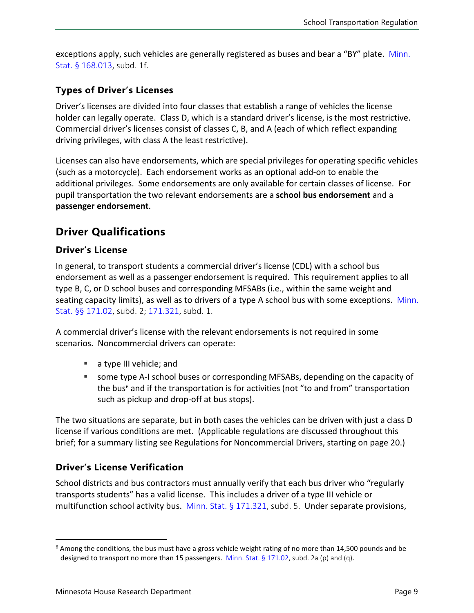exceptions apply, such vehicles are generally registered as buses and bear a "BY" plate. [Minn.](https://www.revisor.mn.gov/statutes/cite/168.013) [Stat. § 168.013,](https://www.revisor.mn.gov/statutes/cite/168.013) subd. 1f.

#### **Types of Driver's Licenses**

Driver's licenses are divided into four classes that establish a range of vehicles the license holder can legally operate. Class D, which is a standard driver's license, is the most restrictive. Commercial driver's licenses consist of classes C, B, and A (each of which reflect expanding driving privileges, with class A the least restrictive).

Licenses can also have endorsements, which are special privileges for operating specific vehicles (such as a motorcycle). Each endorsement works as an optional add-on to enable the additional privileges. Some endorsements are only available for certain classes of license. For pupil transportation the two relevant endorsements are a **school bus endorsement** and a **passenger endorsement**.

#### **Driver Qualifications**

#### **Driver's License**

In general, to transport students a commercial driver's license (CDL) with a school bus endorsement as well as a passenger endorsement is required. This requirement applies to all type B, C, or D school buses and corresponding MFSABs (i.e., within the same weight and seating capacity limits), as well as to drivers of a type A school bus with some exceptions. [Minn.](https://www.revisor.mn.gov/statutes/cite/171.02)  [Stat. §§ 171.02](https://www.revisor.mn.gov/statutes/cite/171.02), subd. 2; [171.321](https://www.revisor.mn.gov/statutes/cite/171.321), subd. 1.

A commercial driver's license with the relevant endorsements is not required in some scenarios. Noncommercial drivers can operate:

- a type III vehicle; and
- some type A-I school buses or corresponding MFSABs, depending on the capacity of the bus<sup>[6](#page-8-0)</sup> and if the transportation is for activities (not "to and from" transportation such as pickup and drop-off at bus stops).

The two situations are separate, but in both cases the vehicles can be driven with just a class D license if various conditions are met. (Applicable regulations are discussed throughout this brief; for a summary listing see Regulations for Noncommercial Drivers, starting on page [20.](#page-18-0))

#### **Driver's License Verification**

School districts and bus contractors must annually verify that each bus driver who "regularly transports students" has a valid license. This includes a driver of a type III vehicle or multifunction school activity bus. [Minn. Stat. § 171.321](https://www.revisor.mn.gov/statutes/cite/171.321), subd. 5. Under separate provisions,

<span id="page-8-0"></span> $6$  Among the conditions, the bus must have a gross vehicle weight rating of no more than 14,500 pounds and be designed to transport no more than 15 passengers. Minn. Stat. § [171.02](https://www.revisor.mn.gov/statutes/cite/171.02), subd. 2a (p) and (q).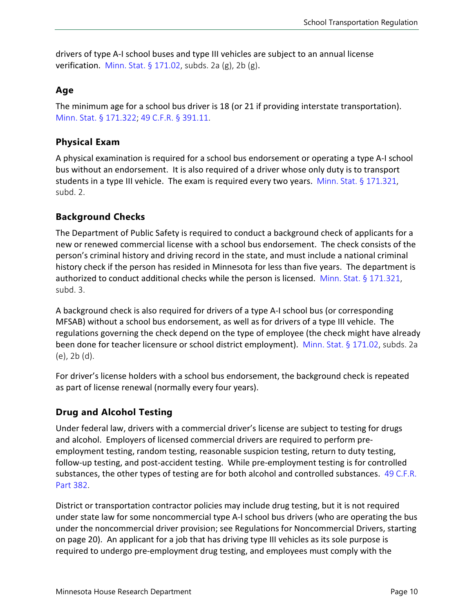drivers of type A-I school buses and type III vehicles are subject to an annual license verification. [Minn. Stat.](https://www.revisor.mn.gov/statutes/cite/171.02)  $\S 171.02$ , subds. 2a (g), 2b (g).

#### **Age**

The minimum age for a school bus driver is 18 (or 21 if providing interstate transportation). [Minn. Stat. § 171.322;](https://www.revisor.mn.gov/statutes/cite/171.322) [49 C.F.R. § 391.11.](https://www.law.cornell.edu/cfr/text/49/391.11)

#### **Physical Exam**

A physical examination is required for a school bus endorsement or operating a type A-I school bus without an endorsement. It is also required of a driver whose only duty is to transport students in a type III vehicle. The exam is required every two years. Minn. Stat.  $\S 171.321$ , subd. 2.

#### **Background Checks**

The Department of Public Safety is required to conduct a background check of applicants for a new or renewed commercial license with a school bus endorsement. The check consists of the person's criminal history and driving record in the state, and must include a national criminal history check if the person has resided in Minnesota for less than five years. The department is authorized to conduct additional checks while the person is licensed. [Minn. Stat. § 171.321](https://www.revisor.mn.gov/statutes/cite/171.321), subd. 3.

A background check is also required for drivers of a type A-I school bus (or corresponding MFSAB) without a school bus endorsement, as well as for drivers of a type III vehicle. The regulations governing the check depend on the type of employee (the check might have already been done for teacher licensure or school district employment). [Minn. Stat. § 171.02,](https://www.revisor.mn.gov/statutes/cite/171.02) subds. 2a (e), 2b (d).

For driver's license holders with a school bus endorsement, the background check is repeated as part of license renewal (normally every four years).

#### **Drug and Alcohol Testing**

Under federal law, drivers with a commercial driver's license are subject to testing for drugs and alcohol. Employers of licensed commercial drivers are required to perform preemployment testing, random testing, reasonable suspicion testing, return to duty testing, follow-up testing, and post-accident testing. While pre-employment testing is for controlled substances, the other types of testing are for both alcohol and controlled substances. [49 C.F.R.](https://www.law.cornell.edu/cfr/text/49/part-382)  [Part 382.](https://www.law.cornell.edu/cfr/text/49/part-382)

District or transportation contractor policies may include drug testing, but it is not required under state law for some noncommercial type A-I school bus drivers (who are operating the bus under the noncommercial driver provision; see Regulations for Noncommercial Drivers, starting on page [20\)](#page-18-0). An applicant for a job that has driving type III vehicles as its sole purpose is required to undergo pre-employment drug testing, and employees must comply with the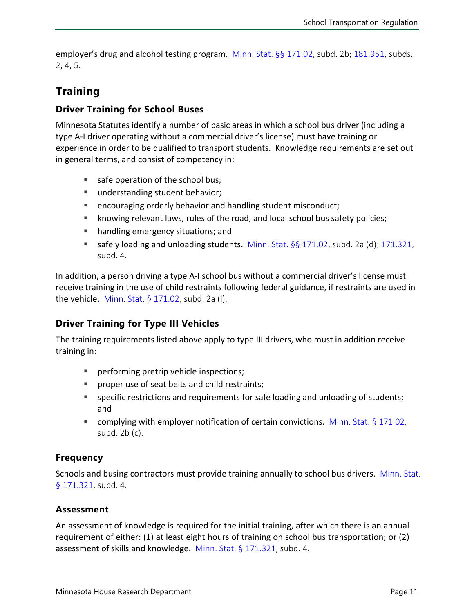employer's drug and alcohol testing program. [Minn. Stat. §§ 171.02](https://www.revisor.mn.gov/statutes/cite/171.02), subd. 2b; [181.951](https://www.revisor.mn.gov/statutes/cite/181.951), subds. 2, 4, 5.

### **Training**

#### **Driver Training for School Buses**

Minnesota Statutes identify a number of basic areas in which a school bus driver (including a type A-I driver operating without a commercial driver's license) must have training or experience in order to be qualified to transport students. Knowledge requirements are set out in general terms, and consist of competency in:

- safe operation of the school bus;
- understanding student behavior;
- **E** encouraging orderly behavior and handling student misconduct;
- knowing relevant laws, rules of the road, and local school bus safety policies;
- handling emergency situations; and
- **safely loading and unloading students.** [Minn. Stat. §§ 171.02,](https://www.revisor.mn.gov/statutes/cite/171.02) subd. 2a (d); [171.321](https://www.revisor.mn.gov/statutes/cite/171.321), subd. 4.

In addition, a person driving a type A-I school bus without a commercial driver's license must receive training in the use of child restraints following federal guidance, if restraints are used in the vehicle. [Minn. Stat. § 171.02,](https://www.revisor.mn.gov/statutes/cite/171.02) subd. 2a (l).

#### **Driver Training for Type III Vehicles**

The training requirements listed above apply to type III drivers, who must in addition receive training in:

- **Performing pretrip vehicle inspections;**
- **PED PROPER USE OF SEAT DETS AND CHILD FEATLE PROPERTY Proper** use of seats and child restraints;
- specific restrictions and requirements for safe loading and unloading of students; and
- complying with employer notification of certain convictions. Minn. Stat.  $\S 171.02$ , subd. 2b (c).

#### **Frequency**

Schools and busing contractors must provide training annually to school bus drivers. [Minn. Stat.](https://www.revisor.mn.gov/statutes/cite/171.321) [§ 171.321](https://www.revisor.mn.gov/statutes/cite/171.321), subd. 4.

#### **Assessment**

An assessment of knowledge is required for the initial training, after which there is an annual requirement of either: (1) at least eight hours of training on school bus transportation; or (2) assessment of skills and knowledge. [Minn. Stat. § 171.321,](https://www.revisor.mn.gov/statutes/cite/171.321) subd. 4.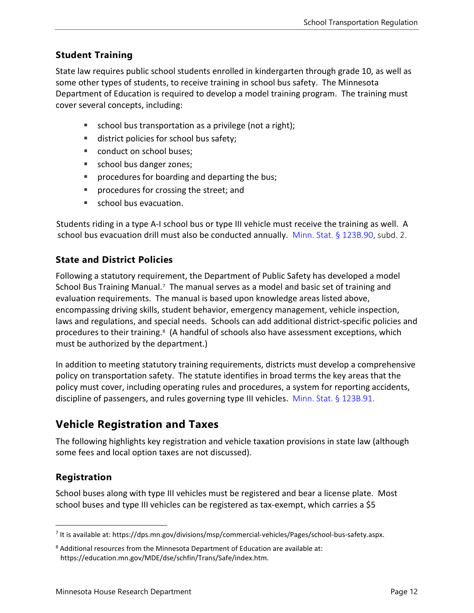#### **Student Training**

State law requires public school students enrolled in kindergarten through grade 10, as well as some other types of students, to receive training in school bus safety. The Minnesota Department of Education is required to develop a model training program. The training must cover several concepts, including:

- school bus transportation as a privilege (not a right);
- district policies for school bus safety;
- conduct on school buses:
- school bus danger zones;
- **procedures for boarding and departing the bus;**
- procedures for crossing the street; and
- school bus evacuation.

Students riding in a type A-I school bus or type III vehicle must receive the training as well. A school bus evacuation drill must also be conducted annually. [Minn. Stat. § 123B.90,](https://www.revisor.mn.gov/statutes/cite/123B.90) subd. 2.

#### **State and District Policies**

Following a statutory requirement, the Department of Public Safety has developed a model School Bus Training Manual.<sup>[7](#page-11-0)</sup> The manual serves as a model and basic set of training and evaluation requirements. The manual is based upon knowledge areas listed above, encompassing driving skills, student behavior, emergency management, vehicle inspection, laws and regulations, and special needs. Schools can add additional district-specific policies and procedures to their training.<sup>[8](#page-11-1)</sup> (A handful of schools also have assessment exceptions, which must be authorized by the department.)

In addition to meeting statutory training requirements, districts must develop a comprehensive policy on transportation safety. The statute identifies in broad terms the key areas that the policy must cover, including operating rules and procedures, a system for reporting accidents, discipline of passengers, and rules governing type III vehicles. [Minn. Stat. § 123B.91.](https://www.revisor.mn.gov/statutes/cite/123B.91)

### **Vehicle Registration and Taxes**

The following highlights key registration and vehicle taxation provisions in state law (although some fees and local option taxes are not discussed).

#### **Registration**

School buses along with type III vehicles must be registered and bear a license plate. Most school buses and type III vehicles can be registered as tax-exempt, which carries a \$5

<span id="page-11-0"></span><sup>7</sup> It is available at: https://dps.mn.gov/divisions/msp/commercial-vehicles/Pages/school-bus-safety.aspx.

<span id="page-11-1"></span><sup>8</sup> Additional resources from the Minnesota Department of Education are available at: https://education.mn.gov/MDE/dse/schfin/Trans/Safe/index.htm.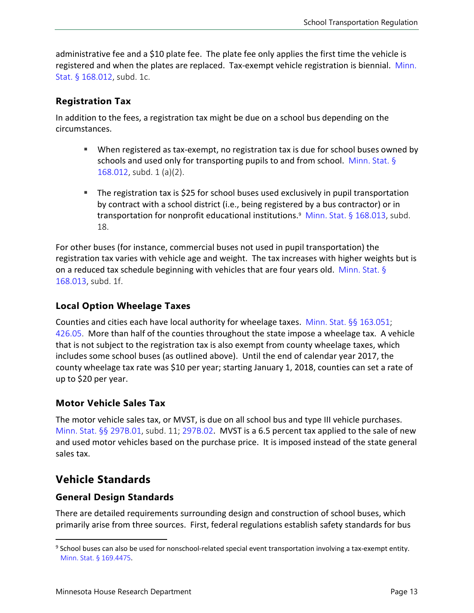administrative fee and a \$10 plate fee. The plate fee only applies the first time the vehicle is registered and when the plates are replaced. Tax-exempt vehicle registration is biennial. [Minn.](https://www.revisor.mn.gov/statutes/cite/168.012)  [Stat. § 168.012,](https://www.revisor.mn.gov/statutes/cite/168.012) subd. 1c.

#### **Registration Tax**

In addition to the fees, a registration tax might be due on a school bus depending on the circumstances.

- When registered as tax-exempt, no registration tax is due for school buses owned by schools and used only for transporting pupils to and from school. [Minn. Stat. §](https://www.revisor.mn.gov/statutes/cite/168.012) [168.012,](https://www.revisor.mn.gov/statutes/cite/168.012) subd. 1 (a)(2).
- The registration tax is \$25 for school buses used exclusively in pupil transportation by contract with a school district (i.e., being registered by a bus contractor) or in transportation for nonprofit educational institutions[.](#page-12-0)<sup>9</sup> [Minn. Stat. § 168.013](https://www.revisor.mn.gov/statutes/cite/168.013), subd. 18.

For other buses (for instance, commercial buses not used in pupil transportation) the registration tax varies with vehicle age and weight. The tax increases with higher weights but is on a reduced tax schedule beginning with vehicles that are four years old. [Minn. Stat.](https://www.revisor.mn.gov/statutes/cite/168.013) § [168.013,](https://www.revisor.mn.gov/statutes/cite/168.013) subd. 1f.

#### **Local Option Wheelage Taxes**

Counties and cities each have local authority for wheelage taxes. [Minn. Stat. §§ 163.051](https://www.revisor.mn.gov/statutes/cite/163.051); [426.05.](https://www.revisor.mn.gov/statutes/cite/426.05) More than half of the counties throughout the state impose a wheelage tax. A vehicle that is not subject to the registration tax is also exempt from county wheelage taxes, which includes some school buses (as outlined above). Until the end of calendar year 2017, the county wheelage tax rate was \$10 per year; starting January 1, 2018, counties can set a rate of up to \$20 per year.

#### **Motor Vehicle Sales Tax**

The motor vehicle sales tax, or MVST, is due on all school bus and type III vehicle purchases. [Minn. Stat. §§ 297B.01,](https://www.revisor.mn.gov/statutes/cite/297B.01) subd. 11; [297B.02](https://www.revisor.mn.gov/statutes/cite/297B.02). MVST is a 6.5 percent tax applied to the sale of new and used motor vehicles based on the purchase price. It is imposed instead of the state general sales tax.

#### <span id="page-12-1"></span>**Vehicle Standards**

#### **General Design Standards**

There are detailed requirements surrounding design and construction of school buses, which primarily arise from three sources. First, federal regulations establish safety standards for bus

<span id="page-12-0"></span><sup>&</sup>lt;sup>9</sup> School buses can also be used for nonschool-related special event transportation involving a tax-exempt entity. [Minn. Stat. § 169.4475](https://www.revisor.mn.gov/statutes/cite/169.4475).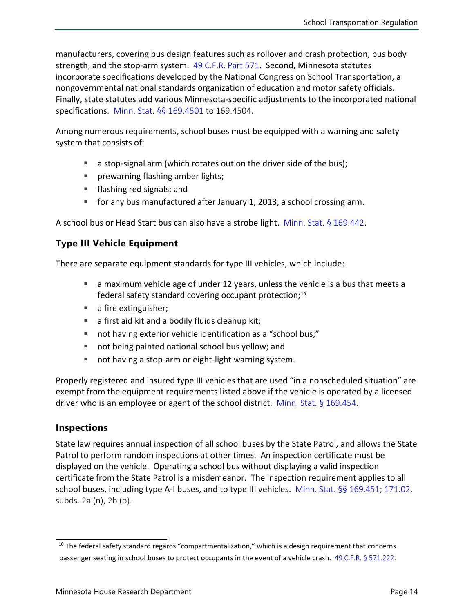manufacturers, covering bus design features such as rollover and crash protection, bus body strength, and the stop-arm system. [49 C.F.R. Part](https://www.law.cornell.edu/cfr/text/49/part-571) 571. Second, Minnesota statutes incorporate specifications developed by the National Congress on School Transportation, a nongovernmental national standards organization of education and motor safety officials. Finally, state statutes add various Minnesota-specific adjustments to the incorporated national specifications. [Minn. Stat. §§ 169.4501](https://www.revisor.mn.gov/statutes/cite/169.4501) to 169.4504.

Among numerous requirements, school buses must be equipped with a warning and safety system that consists of:

- a stop-signal arm (which rotates out on the driver side of the bus);
- **Permaller** prewarning flashing amber lights;
- **flashing red signals; and**
- for any bus manufactured after January 1, 2013, a school crossing arm.

A school bus or Head Start bus can also have a strobe light. [Minn. Stat.](https://www.revisor.mn.gov/statutes/cite/169.442) § 169.442.

#### **Type III Vehicle Equipment**

There are separate equipment standards for type III vehicles, which include:

- a maximum vehicle age of under 12 years, unless the vehicle is a bus that meets a federal safety standard covering occupant protection;<sup>[10](#page-13-0)</sup>
- a fire extinguisher;
- a first aid kit and a bodily fluids cleanup kit;
- not having exterior vehicle identification as a "school bus;"
- not being painted national school bus yellow; and
- not having a stop-arm or eight-light warning system.

Properly registered and insured type III vehicles that are used "in a nonscheduled situation" are exempt from the equipment requirements listed above if the vehicle is operated by a licensed driver who is an employee or agent of the school district. [Minn. Stat. § 169.454](https://www.revisor.mn.gov/statutes/cite/169.454).

#### **Inspections**

State law requires annual inspection of all school buses by the State Patrol, and allows the State Patrol to perform random inspections at other times. An inspection certificate must be displayed on the vehicle. Operating a school bus without displaying a valid inspection certificate from the State Patrol is a misdemeanor. The inspection requirement applies to all school buses, including type A-I buses, and to type III vehicles. [Minn. Stat. §§ 169.451](https://www.revisor.mn.gov/statutes/cite/169.451); [171.02,](https://www.revisor.mn.gov/statutes/cite/171.02) subds. 2a (n), 2b (o).

<span id="page-13-0"></span><sup>&</sup>lt;sup>10</sup> The federal safety standard regards "compartmentalization," which is a design requirement that concerns passenger seating in school buses to protect occupants in the event of a vehicle crash. [49 C.F.R. § 571.222.](https://www.law.cornell.edu/cfr/text/49/571.222)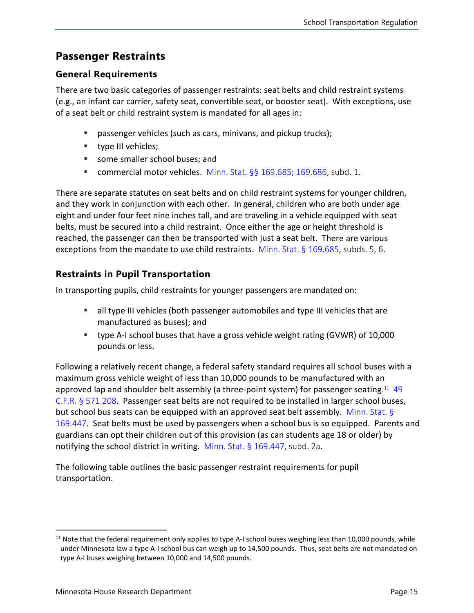## **Passenger Restraints**

#### **General Requirements**

There are two basic categories of passenger restraints: seat belts and child restraint systems (e.g., an infant car carrier, safety seat, convertible seat, or booster seat). With exceptions, use of a seat belt or child restraint system is mandated for all ages in:

- **passenger vehicles (such as cars, minivans, and pickup trucks);**
- **type III vehicles;**
- some smaller school buses; and
- commercial motor vehicles. [Minn. Stat. §§ 169.685;](https://www.revisor.mn.gov/statutes/cite/169.685) [169.686,](https://www.revisor.mn.gov/statutes/cite/169.686) subd. 1.

There are separate statutes on seat belts and on child restraint systems for younger children, and they work in conjunction with each other. In general, children who are both under age eight and under four feet nine inches tall, and are traveling in a vehicle equipped with seat belts, must be secured into a child restraint. Once either the age or height threshold is reached, the passenger can then be transported with just a seat belt. There are various exceptions from the mandate to use child restraints. [Minn. Stat. § 169.685](https://www.revisor.mn.gov/statutes/cite/169.685), subds. 5, 6.

#### **Restraints in Pupil Transportation**

In transporting pupils, child restraints for younger passengers are mandated on:

- all type III vehicles (both passenger automobiles and type III vehicles that are manufactured as buses); and
- type A-I school buses that have a gross vehicle weight rating (GVWR) of 10,000 pounds or less.

Following a relatively recent change, a federal safety standard requires all school buses with a maximum gross vehicle weight of less than 10,000 pounds to be manufactured with an approved lap and shoulder belt assembly (a three-point system) for passenger seating.<sup>[11](#page-14-0)</sup> 49 [C.F.R. § 571.208](https://www.law.cornell.edu/cfr/text/49/571.208). Passenger seat belts are not required to be installed in larger school buses, but school bus seats can be equipped with an approved seat belt assembly. [Minn. Stat.](https://www.revisor.mn.gov/statutes/cite/169.447) § [169.447](https://www.revisor.mn.gov/statutes/cite/169.447). Seat belts must be used by passengers when a school bus is so equipped. Parents and guardians can opt their children out of this provision (as can students age 18 or older) by notifying the school district in writing. [Minn. Stat. § 169.447,](https://www.revisor.mn.gov/statutes/cite/169.447) subd. 2a.

The following table outlines the basic passenger restraint requirements for pupil transportation.

<span id="page-14-0"></span> $11$  Note that the federal requirement only applies to type A-I school buses weighing less than 10,000 pounds, while under Minnesota law a type A-I school bus can weigh up to 14,500 pounds. Thus, seat belts are not mandated on type A-I buses weighing between 10,000 and 14,500 pounds.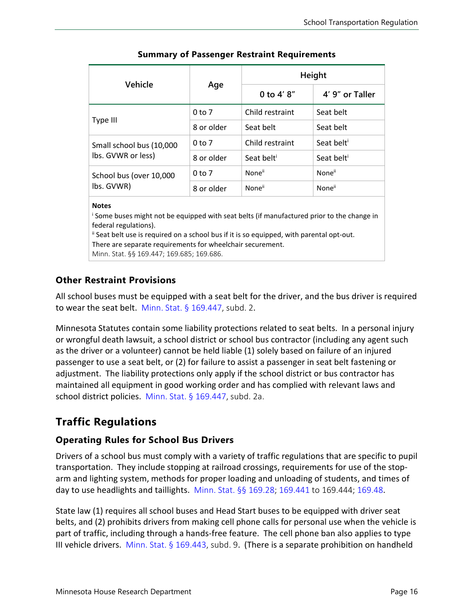|                                                                                                          | Age        | <b>Height</b>          |                        |
|----------------------------------------------------------------------------------------------------------|------------|------------------------|------------------------|
| Vehicle                                                                                                  |            | 0 to $4' 8''$          | 4' 9" or Taller        |
| Type III                                                                                                 | $0$ to $7$ | Child restraint        | Seat belt              |
|                                                                                                          | 8 or older | Seat belt              | Seat belt              |
| Small school bus (10,000<br>lbs. GVWR or less)                                                           | $0$ to $7$ | Child restraint        | Seat belt <sup>i</sup> |
|                                                                                                          | 8 or older | Seat belt <sup>i</sup> | Seat belt <sup>i</sup> |
| School bus (over 10,000                                                                                  | $0$ to $7$ | None <sup>ii</sup>     | None <sup>ii</sup>     |
| lbs. GVWR)                                                                                               | 8 or older | None <sup>ii</sup>     | None <sup>ii</sup>     |
| <b>Notes</b><br>Some buses might not be equinped with seat helts (if manufactured prior to the change in |            |                        |                        |

#### **Summary of Passenger Restraint Requirements**

<sup>i</sup> Some buses might not be equipped with seat belts (if manufactured prior to the change in federal regulations).

ii Seat belt use is required on a school bus if it is so equipped, with parental opt-out. There are separate requirements for wheelchair securement.

Minn. Stat. §§ 169.447; 169.685; 169.686.

#### **Other Restraint Provisions**

All school buses must be equipped with a seat belt for the driver, and the bus driver is required to wear the seat belt. Minn. Stat.  $\S$  169.447, subd. 2.

Minnesota Statutes contain some liability protections related to seat belts. In a personal injury or wrongful death lawsuit, a school district or school bus contractor (including any agent such as the driver or a volunteer) cannot be held liable (1) solely based on failure of an injured passenger to use a seat belt, or (2) for failure to assist a passenger in seat belt fastening or adjustment. The liability protections only apply if the school district or bus contractor has maintained all equipment in good working order and has complied with relevant laws and school district policies. [Minn. Stat. § 169.447](https://www.revisor.mn.gov/statutes/cite/169.447), subd. 2a.

#### **Traffic Regulations**

#### **Operating Rules for School Bus Drivers**

Drivers of a school bus must comply with a variety of traffic regulations that are specific to pupil transportation. They include stopping at railroad crossings, requirements for use of the stoparm and lighting system, methods for proper loading and unloading of students, and times of day to use headlights and taillights. [Minn. Stat. §§ 169.28;](https://www.revisor.mn.gov/statutes/cite/169.28) [169.441](https://www.revisor.mn.gov/statutes/cite/169.441) to 169.444; [169.48](https://www.revisor.mn.gov/statutes/cite/169.48).

State law (1) requires all school buses and Head Start buses to be equipped with driver seat belts, and (2) prohibits drivers from making cell phone calls for personal use when the vehicle is part of traffic, including through a hands-free feature. The cell phone ban also applies to type III vehicle drivers. [Minn. Stat. §](https://www.revisor.mn.gov/statutes/cite/169.443) 169.443, subd. 9. (There is a separate prohibition on handheld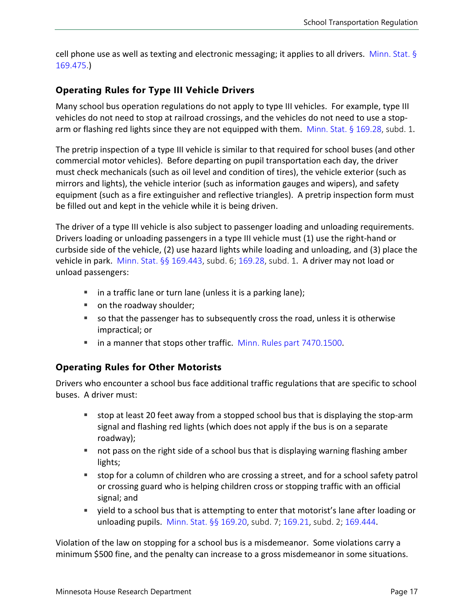cell phone use as well as texting and electronic messaging; it applies to all drivers. [Minn. Stat. §](https://www.revisor.mn.gov/statutes/cite/169.475) [169.475.](https://www.revisor.mn.gov/statutes/cite/169.475))

#### **Operating Rules for Type III Vehicle Drivers**

Many school bus operation regulations do not apply to type III vehicles. For example, type III vehicles do not need to stop at railroad crossings, and the vehicles do not need to use a stoparm or flashing red lights since they are not equipped with them. [Minn. Stat. § 169.28,](https://www.revisor.mn.gov/statutes/cite/169.28) subd. 1.

The pretrip inspection of a type III vehicle is similar to that required for school buses (and other commercial motor vehicles). Before departing on pupil transportation each day, the driver must check mechanicals (such as oil level and condition of tires), the vehicle exterior (such as mirrors and lights), the vehicle interior (such as information gauges and wipers), and safety equipment (such as a fire extinguisher and reflective triangles). A pretrip inspection form must be filled out and kept in the vehicle while it is being driven.

The driver of a type III vehicle is also subject to passenger loading and unloading requirements. Drivers loading or unloading passengers in a type III vehicle must (1) use the right-hand or curbside side of the vehicle, (2) use hazard lights while loading and unloading, and (3) place the vehicle in park. [Minn. Stat. §§ 169.443,](https://www.revisor.mn.gov/statutes/cite/169.443) subd. 6; [169.28,](https://www.revisor.mn.gov/statutes/cite/169.28) subd. 1. A driver may not load or unload passengers:

- $\blacksquare$  in a traffic lane or turn lane (unless it is a parking lane);
- on the roadway shoulder;
- so that the passenger has to subsequently cross the road, unless it is otherwise impractical; or
- **The anall incontant in a manner that stops other traffic.** [Minn. Rules part 7470.1500](https://www.revisor.mn.gov/rules/7470.1500/).

#### **Operating Rules for Other Motorists**

Drivers who encounter a school bus face additional traffic regulations that are specific to school buses. A driver must:

- stop at least 20 feet away from a stopped school bus that is displaying the stop-arm signal and flashing red lights (which does not apply if the bus is on a separate roadway);
- not pass on the right side of a school bus that is displaying warning flashing amber lights;
- stop for a column of children who are crossing a street, and for a school safety patrol or crossing guard who is helping children cross or stopping traffic with an official signal; and
- yield to a school bus that is attempting to enter that motorist's lane after loading or unloading pupils. [Minn. Stat.](https://www.revisor.mn.gov/statutes/cite/169.20) §§ 169.20, subd. 7; [169.21](https://www.revisor.mn.gov/statutes/cite/169.21), subd. 2; [169.444](https://www.revisor.mn.gov/statutes/cite/169.444).

Violation of the law on stopping for a school bus is a misdemeanor. Some violations carry a minimum \$500 fine, and the penalty can increase to a gross misdemeanor in some situations.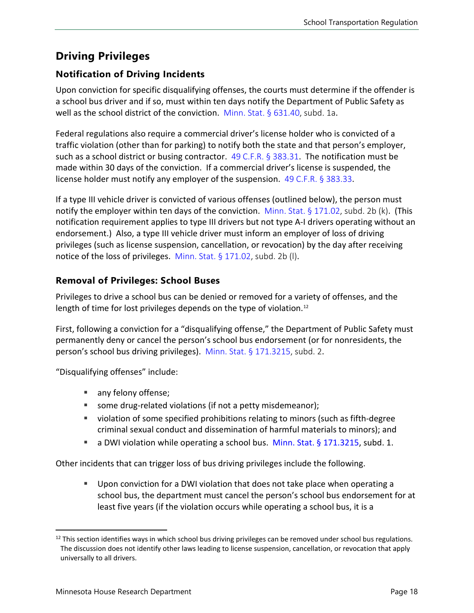## **Driving Privileges**

#### **Notification of Driving Incidents**

Upon conviction for specific disqualifying offenses, the courts must determine if the offender is a school bus driver and if so, must within ten days notify the Department of Public Safety as well as the school district of the conviction. [Minn. Stat. § 631.40,](https://www.revisor.mn.gov/statutes/cite/631.40) subd. 1a.

Federal regulations also require a commercial driver's license holder who is convicted of a traffic violation (other than for parking) to notify both the state and that person's employer, such as a school district or busing contractor.  $49$  [C.F.R. § 383.31](https://www.law.cornell.edu/cfr/text/49/383.31). The notification must be made within 30 days of the conviction. If a commercial driver's license is suspended, the license holder must notify any employer of the suspension. [49 C.F.R. § 383.33](https://www.law.cornell.edu/cfr/text/49/383.33).

If a type III vehicle driver is convicted of various offenses (outlined below), the person must notify the employer within ten days of the conviction. [Minn. Stat. §](https://www.revisor.mn.gov/statutes/cite/171.02) 171.02, subd. 2b (k). (This notification requirement applies to type III drivers but not type A-I drivers operating without an endorsement.) Also, a type III vehicle driver must inform an employer of loss of driving privileges (such as license suspension, cancellation, or revocation) by the day after receiving notice of the loss of privileges. [Minn. Stat.](https://www.revisor.mn.gov/statutes/cite/171.02) § 171.02, subd. 2b (l).

#### **Removal of Privileges: School Buses**

Privileges to drive a school bus can be denied or removed for a variety of offenses, and the length of time for lost privileges depends on the type of violation.<sup>[12](#page-17-0)</sup>

First, following a conviction for a "disqualifying offense," the Department of Public Safety must permanently deny or cancel the person's school bus endorsement (or for nonresidents, the person's school bus driving privileges). [Minn. Stat. § 171.3215,](https://www.revisor.mn.gov/statutes/cite/171.3215) subd. 2.

"Disqualifying offenses" include:

- any felony offense;
- some drug-related violations (if not a petty misdemeanor);
- violation of some specified prohibitions relating to minors (such as fifth-degree criminal sexual conduct and dissemination of harmful materials to minors); and
- a DWI violation while operating a school bus. Minn. Stat. [§ 171.3215,](https://www.revisor.mn.gov/statutes/cite/171.3215) subd. 1.

Other incidents that can trigger loss of bus driving privileges include the following.

 Upon conviction for a DWI violation that does not take place when operating a school bus, the department must cancel the person's school bus endorsement for at least five years (if the violation occurs while operating a school bus, it is a

<span id="page-17-0"></span> $12$  This section identifies ways in which school bus driving privileges can be removed under school bus regulations. The discussion does not identify other laws leading to license suspension, cancellation, or revocation that apply universally to all drivers.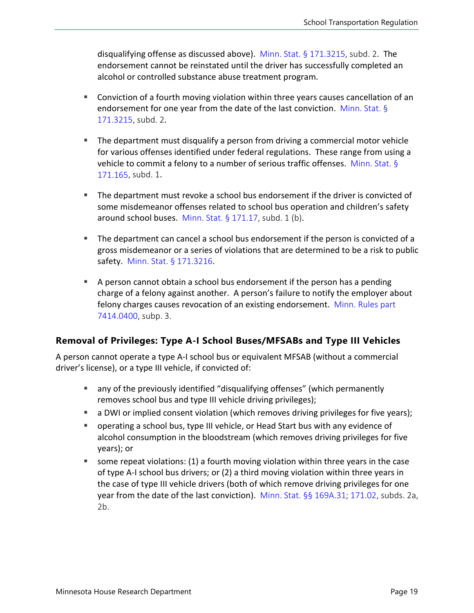disqualifying offense as discussed above). [Minn. Stat. § 171.3215](https://www.revisor.mn.gov/statutes/cite/171.3215), subd. 2. The endorsement cannot be reinstated until the driver has successfully completed an alcohol or controlled substance abuse treatment program.

- Conviction of a fourth moving violation within three years causes cancellation of an endorsement for one year from the date of the last conviction. [Minn. Stat.](https://www.revisor.mn.gov/statutes/cite/171.3215) § [171.3215](https://www.revisor.mn.gov/statutes/cite/171.3215), subd. 2.
- The department must disqualify a person from driving a commercial motor vehicle for various offenses identified under federal regulations. These range from using a vehicle to commit a felony to a number of serious traffic offenses. [Minn. Stat.](https://www.revisor.mn.gov/statutes/cite/171.165) § [171.165](https://www.revisor.mn.gov/statutes/cite/171.165), subd. 1.
- The department must revoke a school bus endorsement if the driver is convicted of some misdemeanor offenses related to school bus operation and children's safety around school buses. [Minn. Stat. § 171.17](https://www.revisor.mn.gov/statutes/cite/171.17), subd. 1 (b).
- The department can cancel a school bus endorsement if the person is convicted of a gross misdemeanor or a series of violations that are determined to be a risk to public safety. [Minn. Stat. §](https://www.revisor.mn.gov/statutes/cite/171.3216) 171.3216.
- A person cannot obtain a school bus endorsement if the person has a pending charge of a felony against another. A person's failure to notify the employer about felony charges causes revocation of an existing endorsement. [Minn. Rules part](https://www.revisor.mn.gov/rules/7414.0400/) [7414.0400,](https://www.revisor.mn.gov/rules/7414.0400/) subp. 3.

#### **Removal of Privileges: Type A-I School Buses/MFSABs and Type III Vehicles**

A person cannot operate a type A-I school bus or equivalent MFSAB (without a commercial driver's license), or a type III vehicle, if convicted of:

- any of the previously identified "disqualifying offenses" (which permanently removes school bus and type III vehicle driving privileges);
- **a** DWI or implied consent violation (which removes driving privileges for five years);
- operating a school bus, type III vehicle, or Head Start bus with any evidence of alcohol consumption in the bloodstream (which removes driving privileges for five years); or
- <span id="page-18-0"></span>some repeat violations:  $(1)$  a fourth moving violation within three years in the case of type A-I school bus drivers; or (2) a third moving violation within three years in the case of type III vehicle drivers (both of which remove driving privileges for one year from the date of the last conviction). Minn. [Stat. §§ 169A.31](https://www.revisor.mn.gov/statutes/cite/169A.31); [171.02,](https://www.revisor.mn.gov/statutes/cite/171.02) subds. 2a, 2b.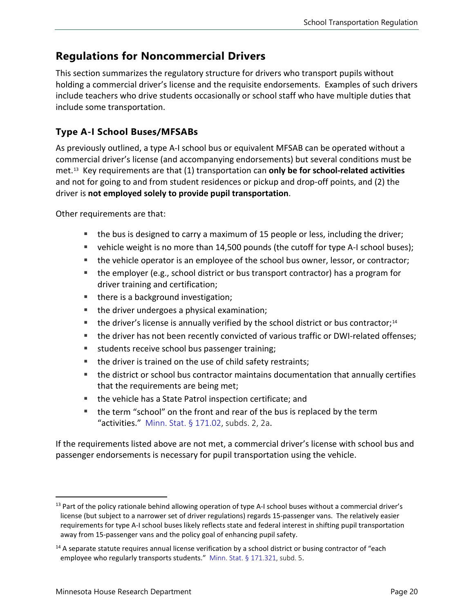### **Regulations for Noncommercial Drivers**

This section summarizes the regulatory structure for drivers who transport pupils without holding a commercial driver's license and the requisite endorsements. Examples of such drivers include teachers who drive students occasionally or school staff who have multiple duties that include some transportation.

#### **Type A-I School Buses/MFSABs**

As previously outlined, a type A-I school bus or equivalent MFSAB can be operated without a commercial driver's license (and accompanying endorsements) but several conditions must be met.[13](#page-19-0) Key requirements are that (1) transportation can **only be for school-related activities** and not for going to and from student residences or pickup and drop-off points, and (2) the driver is **not employed solely to provide pupil transportation**.

Other requirements are that:

- the bus is designed to carry a maximum of 15 people or less, including the driver;
- vehicle weight is no more than 14,500 pounds (the cutoff for type A-I school buses);
- the vehicle operator is an employee of the school bus owner, lessor, or contractor;
- the employer (e.g., school district or bus transport contractor) has a program for driver training and certification;
- there is a background investigation;
- the driver undergoes a physical examination;
- $\blacksquare$  the driver's license is annually verified by the school district or bus contractor;<sup>[14](#page-19-1)</sup>
- **the driver has not been recently convicted of various traffic or DWI-related offenses;**
- **students receive school bus passenger training;**
- the driver is trained on the use of child safety restraints;
- the district or school bus contractor maintains documentation that annually certifies that the requirements are being met;
- the vehicle has a State Patrol inspection certificate; and
- the term "school" on the front and rear of the bus is replaced by the term "activities." [Minn. Stat.](https://www.revisor.mn.gov/statutes/cite/171.02)  $\S$  171.02, subds. 2, 2a.

If the requirements listed above are not met, a commercial driver's license with school bus and passenger endorsements is necessary for pupil transportation using the vehicle.

<span id="page-19-0"></span> $13$  Part of the policy rationale behind allowing operation of type A-I school buses without a commercial driver's license (but subject to a narrower set of driver regulations) regards 15-passenger vans. The relatively easier requirements for type A-I school buses likely reflects state and federal interest in shifting pupil transportation away from 15-passenger vans and the policy goal of enhancing pupil safety.

<span id="page-19-1"></span><sup>&</sup>lt;sup>14</sup> A separate statute requires annual license verification by a school district or busing contractor of "each employee who regularly transports students." [Minn. Stat.](https://www.revisor.mn.gov/statutes/cite/171.321) § 171.321, subd. 5.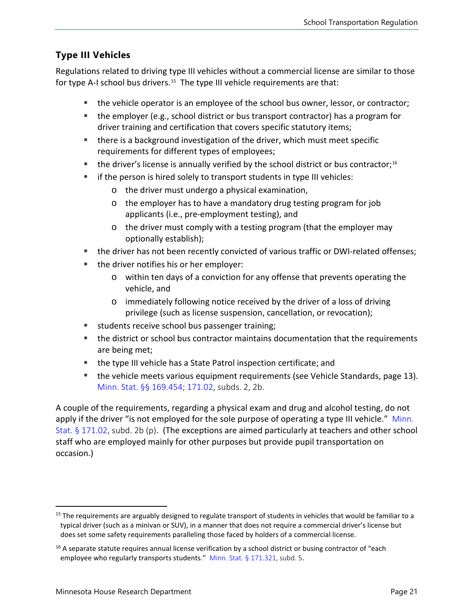#### **Type III Vehicles**

Regulations related to driving type III vehicles without a commercial license are similar to those for type A-I school bus drivers.<sup>[15](#page-20-0)</sup> The type III vehicle requirements are that:

- **the vehicle operator is an employee of the school bus owner, lessor, or contractor;**
- the employer (e.g., school district or bus transport contractor) has a program for driver training and certification that covers specific statutory items;
- there is a background investigation of the driver, which must meet specific requirements for different types of employees;
- $\blacksquare$  the driver's license is annually verified by the school district or bus contractor;<sup>[16](#page-20-1)</sup>
- $\blacksquare$  if the person is hired solely to transport students in type III vehicles:
	- o the driver must undergo a physical examination,
	- o the employer has to have a mandatory drug testing program for job applicants (i.e., pre-employment testing), and
	- o the driver must comply with a testing program (that the employer may optionally establish);
- **the driver has not been recently convicted of various traffic or DWI-related offenses;**
- **the driver notifies his or her employer:** 
	- o within ten days of a conviction for any offense that prevents operating the vehicle, and
	- o immediately following notice received by the driver of a loss of driving privilege (such as license suspension, cancellation, or revocation);
- students receive school bus passenger training;
- the district or school bus contractor maintains documentation that the requirements are being met;
- the type III vehicle has a State Patrol inspection certificate; and
- the vehicle meets various equipment requirements (see [Vehicle Standards,](#page-12-1) page [13\)](#page-12-1). [Minn. Stat. §§ 169.454;](https://www.revisor.mn.gov/statutes/cite/169.454) [171.02,](https://www.revisor.mn.gov/statutes/cite/171.02) subds. 2, 2b.

A couple of the requirements, regarding a physical exam and drug and alcohol testing, do not apply if the driver "is not employed for the sole purpose of operating a type III vehicle." Minn. [Stat. § 171.02,](https://www.revisor.mn.gov/statutes/cite/171.02) subd. 2b (p). (The exceptions are aimed particularly at teachers and other school staff who are employed mainly for other purposes but provide pupil transportation on occasion.)

<span id="page-20-0"></span> $15$  The requirements are arguably designed to regulate transport of students in vehicles that would be familiar to a typical driver (such as a minivan or SUV), in a manner that does not require a commercial driver's license but does set some safety requirements paralleling those faced by holders of a commercial license.

<span id="page-20-1"></span><sup>&</sup>lt;sup>16</sup> A separate statute requires annual license verification by a school district or busing contractor of "each employee who regularly transports students." [Minn. Stat.](https://www.revisor.mn.gov/statutes/cite/171.321) § 171.321, subd. 5.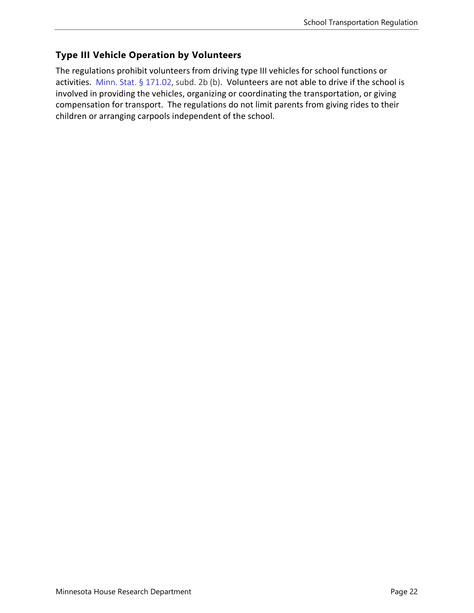#### **Type III Vehicle Operation by Volunteers**

The regulations prohibit volunteers from driving type III vehicles for school functions or activities. [Minn. Stat. §](https://www.revisor.mn.gov/statutes/cite/171.02) 171.02, subd. 2b (b). Volunteers are not able to drive if the school is involved in providing the vehicles, organizing or coordinating the transportation, or giving compensation for transport. The regulations do not limit parents from giving rides to their children or arranging carpools independent of the school.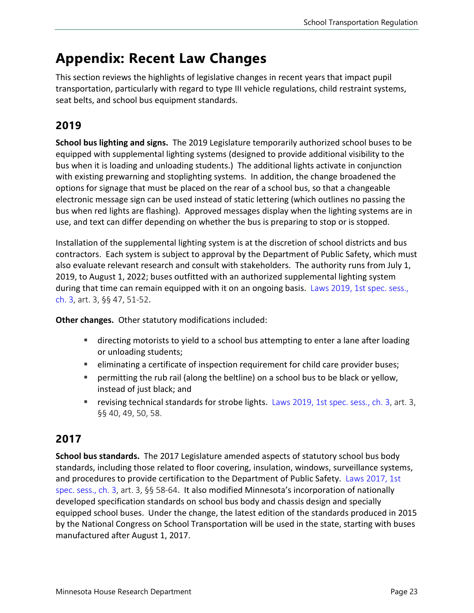## <span id="page-22-0"></span>**Appendix: Recent Law Changes**

This section reviews the highlights of legislative changes in recent years that impact pupil transportation, particularly with regard to type III vehicle regulations, child restraint systems, seat belts, and school bus equipment standards.

## **2019**

**School bus lighting and signs.** The 2019 Legislature temporarily authorized school buses to be equipped with supplemental lighting systems (designed to provide additional visibility to the bus when it is loading and unloading students.) The additional lights activate in conjunction with existing prewarning and stoplighting systems. In addition, the change broadened the options for signage that must be placed on the rear of a school bus, so that a changeable electronic message sign can be used instead of static lettering (which outlines no passing the bus when red lights are flashing). Approved messages display when the lighting systems are in use, and text can differ depending on whether the bus is preparing to stop or is stopped.

Installation of the supplemental lighting system is at the discretion of school districts and bus contractors. Each system is subject to approval by the Department of Public Safety, which must also evaluate relevant research and consult with stakeholders. The authority runs from July 1, 2019, to August 1, 2022; buses outfitted with an authorized supplemental lighting system during that time can remain equipped with it on an ongoing basis. Laws 2019, [1st spec. sess.,](https://www.revisor.mn.gov/laws/2019/1/Session+Law/Chapter/3/)  [ch. 3,](https://www.revisor.mn.gov/laws/2019/1/Session+Law/Chapter/3/) art. 3, §§ 47, 51-52.

**Other changes.** Other statutory modifications included:

- **EXED** directing motorists to yield to a school bus attempting to enter a lane after loading or unloading students;
- **EXED** eliminating a certificate of inspection requirement for child care provider buses;
- permitting the rub rail (along the beltline) on a school bus to be black or yellow, instead of just black; and
- **Fig. 2019**, 1st spec. sess., ch. 3, art. 3, **Proberts** in stranger stroke lights. [Laws 2019, 1st spec. sess., ch. 3,](https://www.revisor.mn.gov/laws/2019/1/Session+Law/Chapter/3/) art. 3, §§ 40, 49, 50, 58.

### **2017**

**School bus standards.** The 2017 Legislature amended aspects of statutory school bus body standards, including those related to floor covering, insulation, windows, surveillance systems, and procedures to provide certification to the Department of Public Safety. [Laws 2017, 1st](https://www.revisor.mn.gov/laws/2017/1/Session+Law/Chapter/3/)  [spec. sess., ch. 3](https://www.revisor.mn.gov/laws/2017/1/Session+Law/Chapter/3/), art. 3, §§ 58-64. It also modified Minnesota's incorporation of nationally developed specification standards on school bus body and chassis design and specially equipped school buses. Under the change, the latest edition of the standards produced in 2015 by the National Congress on School Transportation will be used in the state, starting with buses manufactured after August 1, 2017.